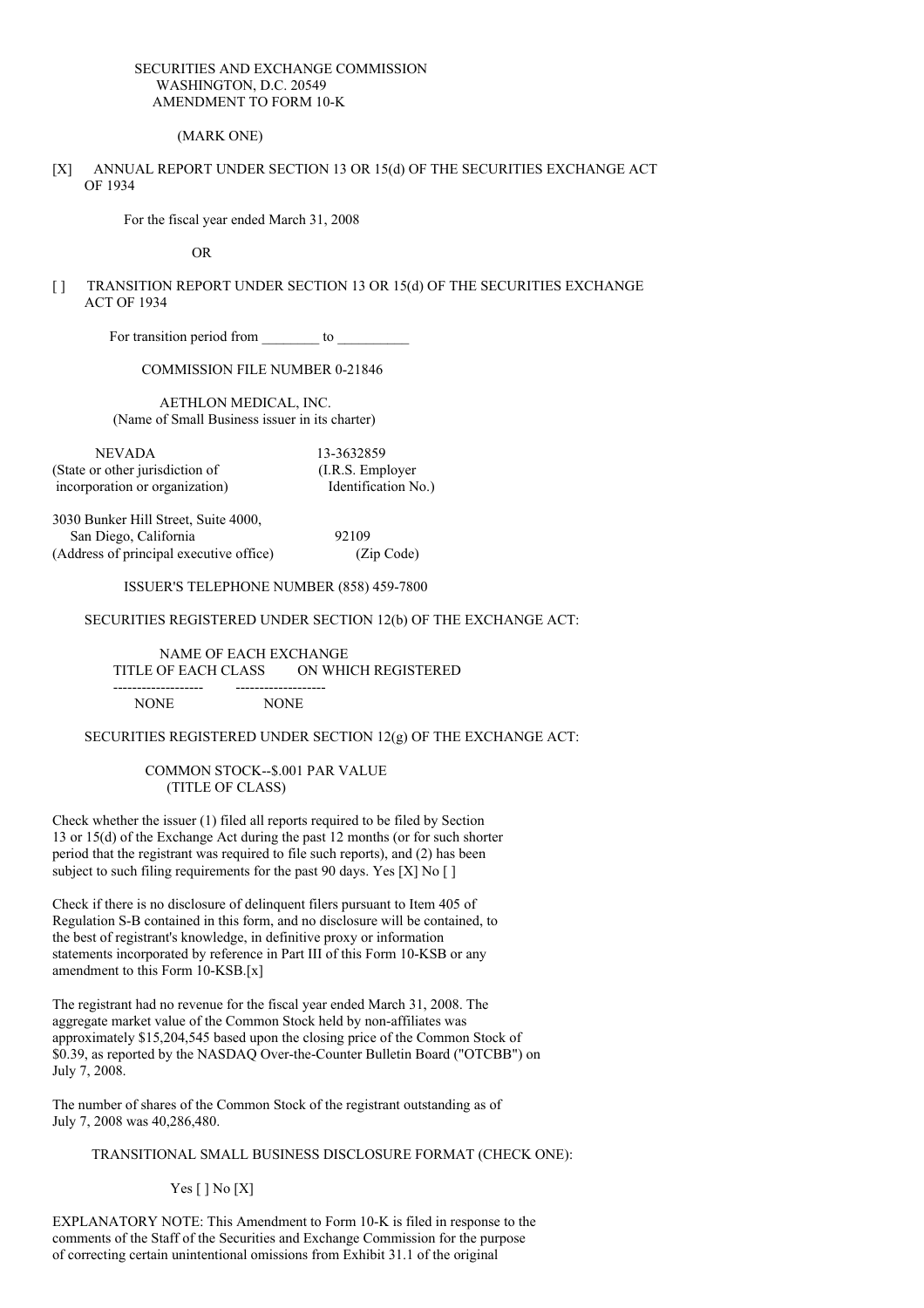#### SECURITIES AND EXCHANGE COMMISSION WASHINGTON, D.C. 20549 AMENDMENT TO FORM 10-K

(MARK ONE)

## [X] ANNUAL REPORT UNDER SECTION 13 OR 15(d) OF THE SECURITIES EXCHANGE ACT OF 1934

For the fiscal year ended March 31, 2008

OR

[ ] TRANSITION REPORT UNDER SECTION 13 OR 15(d) OF THE SECURITIES EXCHANGE ACT OF 1934

For transition period from to

COMMISSION FILE NUMBER 0-21846

AETHLON MEDICAL, INC. (Name of Small Business issuer in its charter)

NEVADA 13-3632859 (State or other jurisdiction of (I.R.S. Employer incorporation or organization) Identification No.)

3030 Bunker Hill Street, Suite 4000, San Diego, California 92109 (Address of principal executive office) (Zip Code)

ISSUER'S TELEPHONE NUMBER (858) 459-7800

# SECURITIES REGISTERED UNDER SECTION 12(b) OF THE EXCHANGE ACT:

NAME OF EACH EXCHANGE TITLE OF EACH CLASS ON WHICH REGISTERED ------------------- -------------------

NONE NONE

#### SECURITIES REGISTERED UNDER SECTION 12(g) OF THE EXCHANGE ACT:

#### COMMON STOCK--\$.001 PAR VALUE (TITLE OF CLASS)

Check whether the issuer (1) filed all reports required to be filed by Section 13 or 15(d) of the Exchange Act during the past 12 months (or for such shorter period that the registrant was required to file such reports), and (2) has been subject to such filing requirements for the past 90 days. Yes [X] No [ ]

Check if there is no disclosure of delinquent filers pursuant to Item 405 of Regulation S-B contained in this form, and no disclosure will be contained, to the best of registrant's knowledge, in definitive proxy or information statements incorporated by reference in Part III of this Form 10-KSB or any amendment to this Form 10-KSB.[x]

The registrant had no revenue for the fiscal year ended March 31, 2008. The aggregate market value of the Common Stock held by non-affiliates was approximately \$15,204,545 based upon the closing price of the Common Stock of \$0.39, as reported by the NASDAQ Over-the-Counter Bulletin Board ("OTCBB") on July 7, 2008.

The number of shares of the Common Stock of the registrant outstanding as of July 7, 2008 was 40,286,480.

TRANSITIONAL SMALL BUSINESS DISCLOSURE FORMAT (CHECK ONE):

 $Yes [ ] No [X]$ 

EXPLANATORY NOTE: This Amendment to Form 10-K is filed in response to the comments of the Staff of the Securities and Exchange Commission for the purpose of correcting certain unintentional omissions from Exhibit 31.1 of the original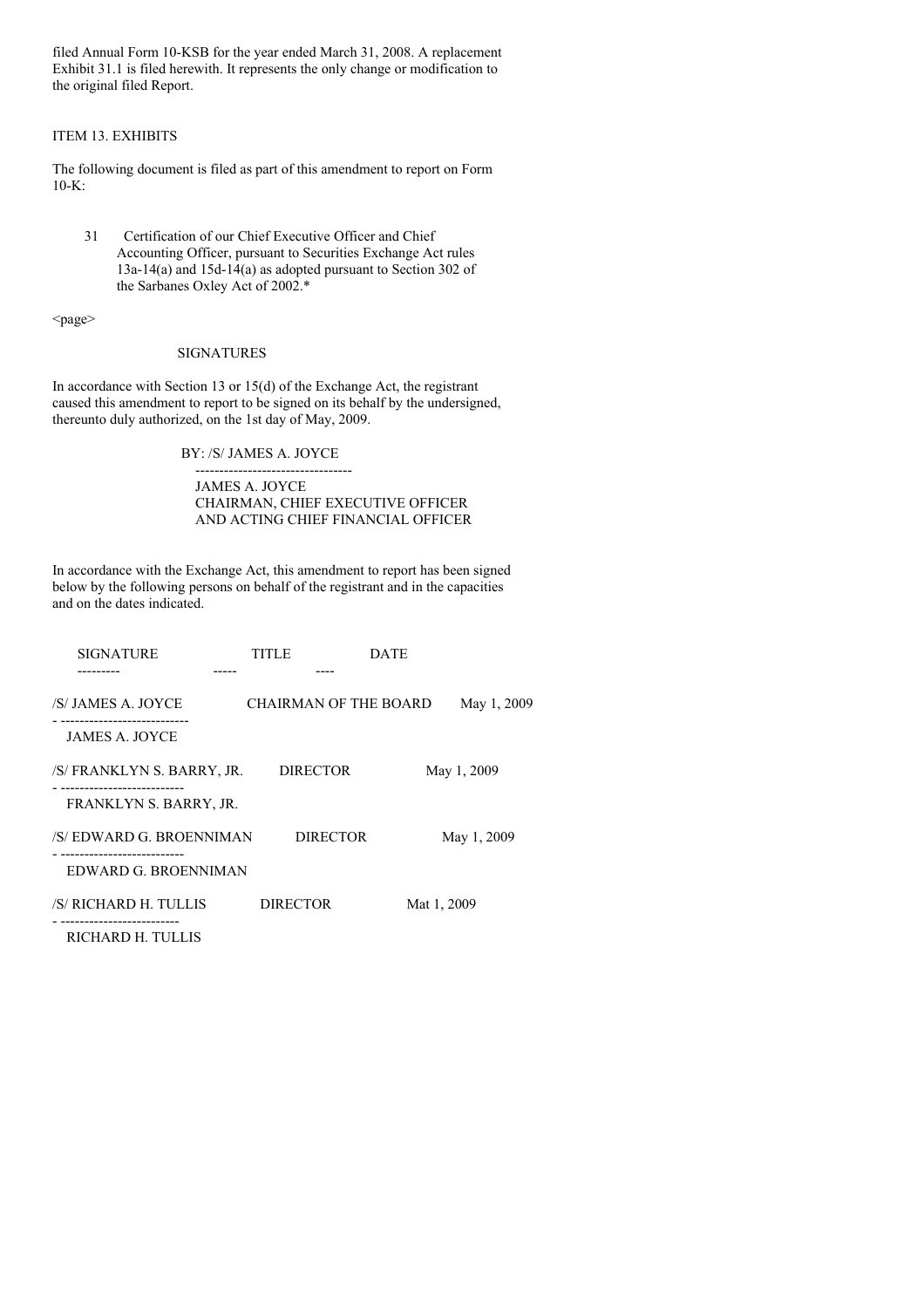filed Annual Form 10-KSB for the year ended March 31, 2008. A replacement Exhibit 31.1 is filed herewith. It represents the only change or modification to the original filed Report.

# ITEM 13. EXHIBITS

The following document is filed as part of this amendment to report on Form 10-K:

31 Certification of our Chief Executive Officer and Chief Accounting Officer, pursuant to Securities Exchange Act rules 13a-14(a) and 15d-14(a) as adopted pursuant to Section 302 of the Sarbanes Oxley Act of 2002.\*

<page>

## SIGNATURES

In accordance with Section 13 or 15(d) of the Exchange Act, the registrant caused this amendment to report to be signed on its behalf by the undersigned, thereunto duly authorized, on the 1st day of May, 2009.

BY: /S/ JAMES A. JOYCE

--------------------------------- JAMES A. JOYCE CHAIRMAN, CHIEF EXECUTIVE OFFICER AND ACTING CHIEF FINANCIAL OFFICER

In accordance with the Exchange Act, this amendment to report has been signed below by the following persons on behalf of the registrant and in the capacities and on the dates indicated.

| <b>SIGNATURE</b>                                   | <b>TITLE</b>                 | <b>DATE</b> |
|----------------------------------------------------|------------------------------|-------------|
|                                                    |                              |             |
| /S/ JAMES A. JOYCE                                 | <b>CHAIRMAN OF THE BOARD</b> | May 1, 2009 |
| JAMES A. JOYCE                                     |                              |             |
| /S/ FRANKLYN S. BARRY, JR.                         | <b>DIRECTOR</b>              | May 1, 2009 |
| ------------------------<br>FRANKLYN S. BARRY, JR. |                              |             |
| /S/ EDWARD G. BROENNIMAN                           | <b>DIRECTOR</b>              | May 1, 2009 |
| EDWARD G. BROENNIMAN                               |                              |             |
| /S/ RICHARD H. TULLIS<br>---------------------     | <b>DIRECTOR</b>              | Mat 1, 2009 |
| RICHARD H. TULLIS                                  |                              |             |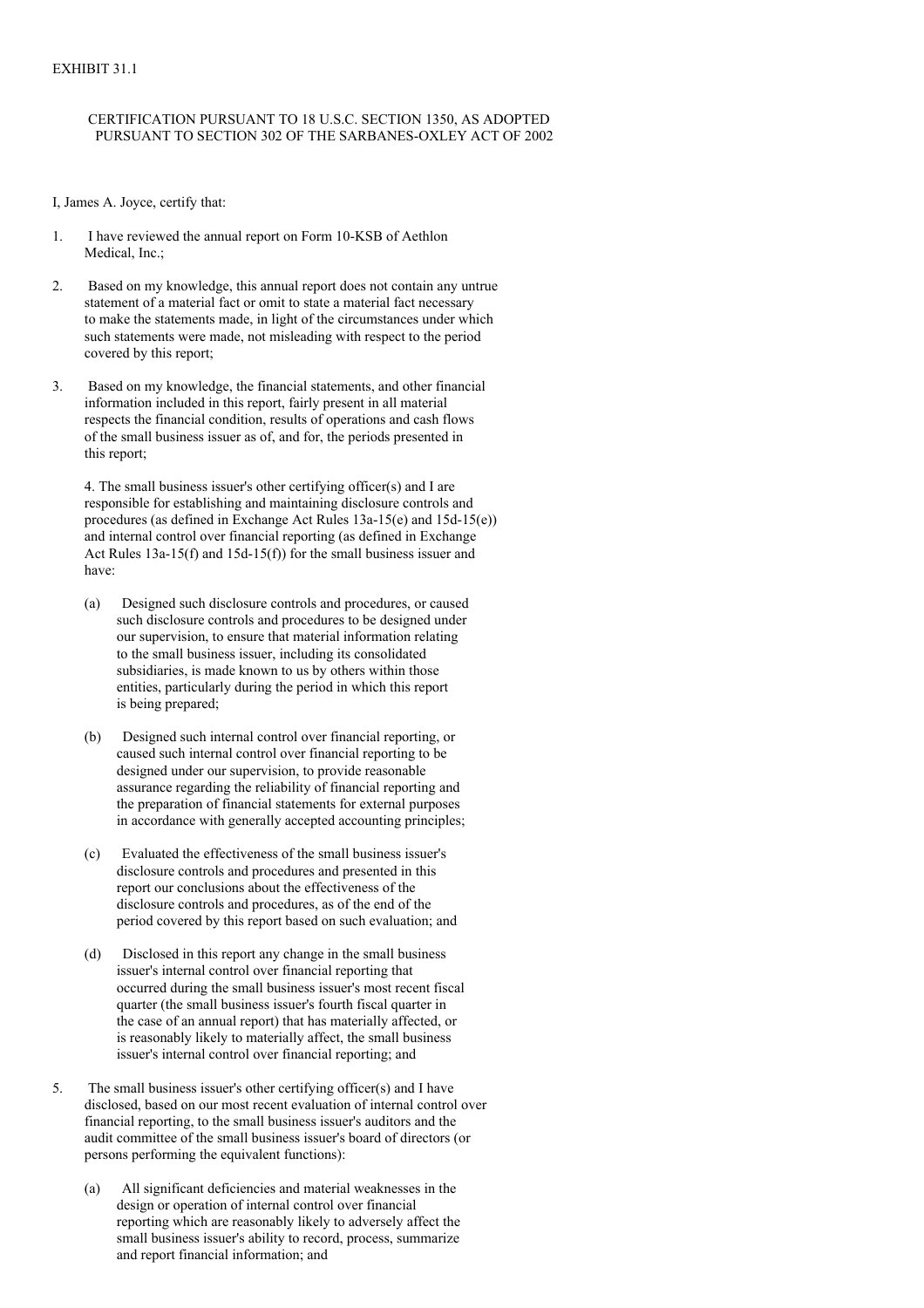# CERTIFICATION PURSUANT TO 18 U.S.C. SECTION 1350, AS ADOPTED PURSUANT TO SECTION 302 OF THE SARBANES-OXLEY ACT OF 2002

I, James A. Joyce, certify that:

- 1. I have reviewed the annual report on Form 10-KSB of Aethlon Medical, Inc.;
- 2. Based on my knowledge, this annual report does not contain any untrue statement of a material fact or omit to state a material fact necessary to make the statements made, in light of the circumstances under which such statements were made, not misleading with respect to the period covered by this report;
- 3. Based on my knowledge, the financial statements, and other financial information included in this report, fairly present in all material respects the financial condition, results of operations and cash flows of the small business issuer as of, and for, the periods presented in this report;

4. The small business issuer's other certifying officer(s) and I are responsible for establishing and maintaining disclosure controls and procedures (as defined in Exchange Act Rules 13a-15(e) and 15d-15(e)) and internal control over financial reporting (as defined in Exchange Act Rules 13a-15(f) and 15d-15(f)) for the small business issuer and have:

- (a) Designed such disclosure controls and procedures, or caused such disclosure controls and procedures to be designed under our supervision, to ensure that material information relating to the small business issuer, including its consolidated subsidiaries, is made known to us by others within those entities, particularly during the period in which this report is being prepared;
- (b) Designed such internal control over financial reporting, or caused such internal control over financial reporting to be designed under our supervision, to provide reasonable assurance regarding the reliability of financial reporting and the preparation of financial statements for external purposes in accordance with generally accepted accounting principles;
- (c) Evaluated the effectiveness of the small business issuer's disclosure controls and procedures and presented in this report our conclusions about the effectiveness of the disclosure controls and procedures, as of the end of the period covered by this report based on such evaluation; and
- (d) Disclosed in this report any change in the small business issuer's internal control over financial reporting that occurred during the small business issuer's most recent fiscal quarter (the small business issuer's fourth fiscal quarter in the case of an annual report) that has materially affected, or is reasonably likely to materially affect, the small business issuer's internal control over financial reporting; and
- 5. The small business issuer's other certifying officer(s) and I have disclosed, based on our most recent evaluation of internal control over financial reporting, to the small business issuer's auditors and the audit committee of the small business issuer's board of directors (or persons performing the equivalent functions):
	- (a) All significant deficiencies and material weaknesses in the design or operation of internal control over financial reporting which are reasonably likely to adversely affect the small business issuer's ability to record, process, summarize and report financial information; and